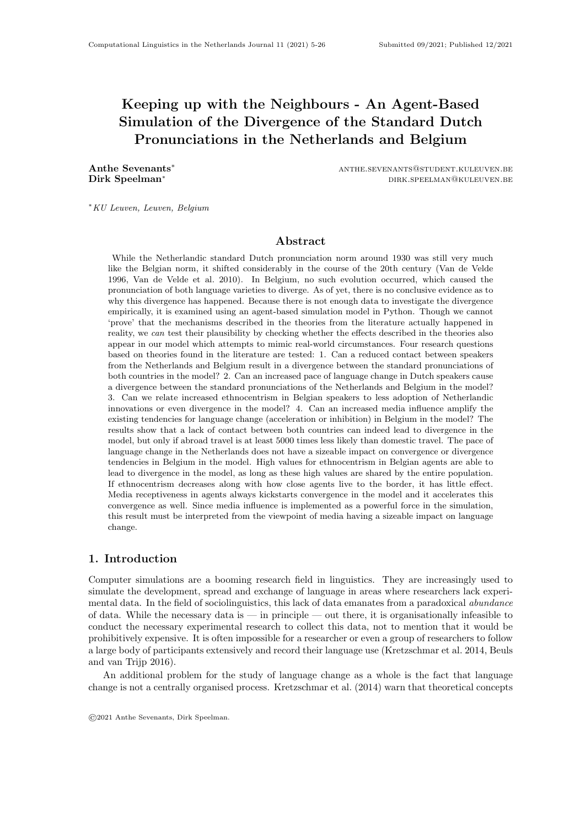# Keeping up with the Neighbours - An Agent-Based Simulation of the Divergence of the Standard Dutch Pronunciations in the Netherlands and Belgium

Anthe Sevenants<sup>\*</sup> anthe sevenants<sup>\*</sup> anthe sevenants∞student.kuleuven.be Dirk Speelman<sup>∗</sup> dirk.speelman<sup>∗</sup> dirk.speelman° dirk.speelman° dirk.speelman° dirk.speelman° dirk.speelman° dirk.speelman° dirk.speelman° dirk.speelman° dirk.speelman° dirk.speelman° dirk.speelman° dirk.speelman° dirk.sp

<sup>∗</sup>KU Leuven, Leuven, Belgium

# Abstract

While the Netherlandic standard Dutch pronunciation norm around 1930 was still very much like the Belgian norm, it shifted considerably in the course of the 20th century (Van de Velde 1996, Van de Velde et al. 2010). In Belgium, no such evolution occurred, which caused the pronunciation of both language varieties to diverge. As of yet, there is no conclusive evidence as to why this divergence has happened. Because there is not enough data to investigate the divergence empirically, it is examined using an agent-based simulation model in Python. Though we cannot 'prove' that the mechanisms described in the theories from the literature actually happened in reality, we can test their plausibility by checking whether the effects described in the theories also appear in our model which attempts to mimic real-world circumstances. Four research questions based on theories found in the literature are tested: 1. Can a reduced contact between speakers from the Netherlands and Belgium result in a divergence between the standard pronunciations of both countries in the model? 2. Can an increased pace of language change in Dutch speakers cause a divergence between the standard pronunciations of the Netherlands and Belgium in the model? 3. Can we relate increased ethnocentrism in Belgian speakers to less adoption of Netherlandic innovations or even divergence in the model? 4. Can an increased media influence amplify the existing tendencies for language change (acceleration or inhibition) in Belgium in the model? The results show that a lack of contact between both countries can indeed lead to divergence in the model, but only if abroad travel is at least 5000 times less likely than domestic travel. The pace of language change in the Netherlands does not have a sizeable impact on convergence or divergence tendencies in Belgium in the model. High values for ethnocentrism in Belgian agents are able to lead to divergence in the model, as long as these high values are shared by the entire population. If ethnocentrism decreases along with how close agents live to the border, it has little effect. Media receptiveness in agents always kickstarts convergence in the model and it accelerates this convergence as well. Since media influence is implemented as a powerful force in the simulation, this result must be interpreted from the viewpoint of media having a sizeable impact on language change.

## 1. Introduction

Computer simulations are a booming research field in linguistics. They are increasingly used to simulate the development, spread and exchange of language in areas where researchers lack experimental data. In the field of sociolinguistics, this lack of data emanates from a paradoxical abundance of data. While the necessary data is — in principle — out there, it is organisationally infeasible to conduct the necessary experimental research to collect this data, not to mention that it would be prohibitively expensive. It is often impossible for a researcher or even a group of researchers to follow a large body of participants extensively and record their language use (Kretzschmar et al. 2014, Beuls and van Trijp 2016).

An additional problem for the study of language change as a whole is the fact that language change is not a centrally organised process. Kretzschmar et al. (2014) warn that theoretical concepts

©2021 Anthe Sevenants, Dirk Speelman.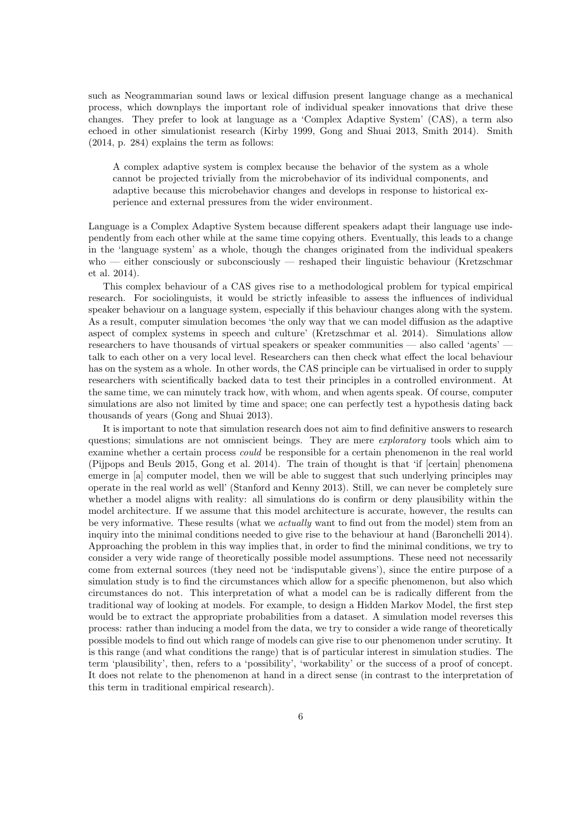such as Neogrammarian sound laws or lexical diffusion present language change as a mechanical process, which downplays the important role of individual speaker innovations that drive these changes. They prefer to look at language as a 'Complex Adaptive System' (CAS), a term also echoed in other simulationist research (Kirby 1999, Gong and Shuai 2013, Smith 2014). Smith (2014, p. 284) explains the term as follows:

A complex adaptive system is complex because the behavior of the system as a whole cannot be projected trivially from the microbehavior of its individual components, and adaptive because this microbehavior changes and develops in response to historical experience and external pressures from the wider environment.

Language is a Complex Adaptive System because different speakers adapt their language use independently from each other while at the same time copying others. Eventually, this leads to a change in the 'language system' as a whole, though the changes originated from the individual speakers who — either consciously or subconsciously — reshaped their linguistic behaviour (Kretzschmar et al. 2014).

This complex behaviour of a CAS gives rise to a methodological problem for typical empirical research. For sociolinguists, it would be strictly infeasible to assess the influences of individual speaker behaviour on a language system, especially if this behaviour changes along with the system. As a result, computer simulation becomes 'the only way that we can model diffusion as the adaptive aspect of complex systems in speech and culture' (Kretzschmar et al. 2014). Simulations allow researchers to have thousands of virtual speakers or speaker communities — also called 'agents' talk to each other on a very local level. Researchers can then check what effect the local behaviour has on the system as a whole. In other words, the CAS principle can be virtualised in order to supply researchers with scientifically backed data to test their principles in a controlled environment. At the same time, we can minutely track how, with whom, and when agents speak. Of course, computer simulations are also not limited by time and space; one can perfectly test a hypothesis dating back thousands of years (Gong and Shuai 2013).

It is important to note that simulation research does not aim to find definitive answers to research questions; simulations are not omniscient beings. They are mere *exploratory* tools which aim to examine whether a certain process could be responsible for a certain phenomenon in the real world (Pijpops and Beuls 2015, Gong et al. 2014). The train of thought is that 'if [certain] phenomena emerge in [a] computer model, then we will be able to suggest that such underlying principles may operate in the real world as well' (Stanford and Kenny 2013). Still, we can never be completely sure whether a model aligns with reality: all simulations do is confirm or deny plausibility within the model architecture. If we assume that this model architecture is accurate, however, the results can be very informative. These results (what we *actually* want to find out from the model) stem from an inquiry into the minimal conditions needed to give rise to the behaviour at hand (Baronchelli 2014). Approaching the problem in this way implies that, in order to find the minimal conditions, we try to consider a very wide range of theoretically possible model assumptions. These need not necessarily come from external sources (they need not be 'indisputable givens'), since the entire purpose of a simulation study is to find the circumstances which allow for a specific phenomenon, but also which circumstances do not. This interpretation of what a model can be is radically different from the traditional way of looking at models. For example, to design a Hidden Markov Model, the first step would be to extract the appropriate probabilities from a dataset. A simulation model reverses this process: rather than inducing a model from the data, we try to consider a wide range of theoretically possible models to find out which range of models can give rise to our phenomenon under scrutiny. It is this range (and what conditions the range) that is of particular interest in simulation studies. The term 'plausibility', then, refers to a 'possibility', 'workability' or the success of a proof of concept. It does not relate to the phenomenon at hand in a direct sense (in contrast to the interpretation of this term in traditional empirical research).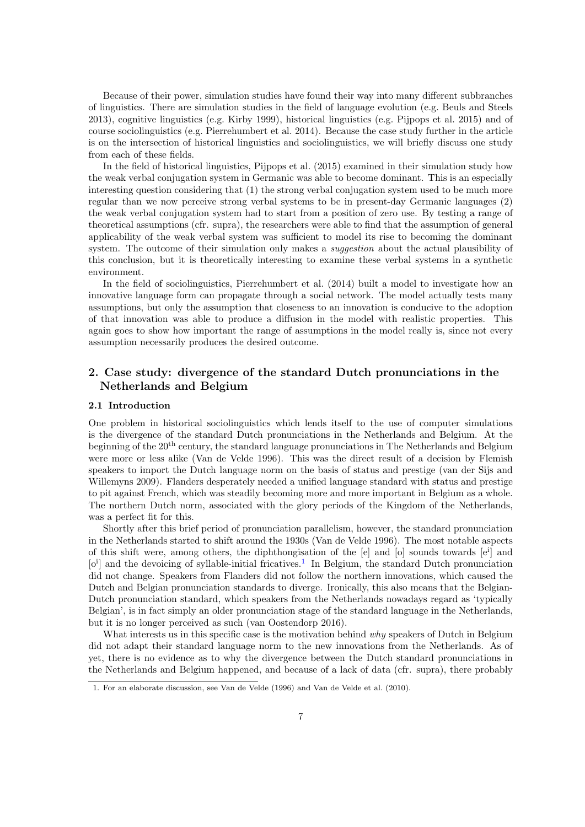Because of their power, simulation studies have found their way into many different subbranches of linguistics. There are simulation studies in the field of language evolution (e.g. Beuls and Steels 2013), cognitive linguistics (e.g. Kirby 1999), historical linguistics (e.g. Pijpops et al. 2015) and of course sociolinguistics (e.g. Pierrehumbert et al. 2014). Because the case study further in the article is on the intersection of historical linguistics and sociolinguistics, we will briefly discuss one study from each of these fields.

In the field of historical linguistics, Pijpops et al. (2015) examined in their simulation study how the weak verbal conjugation system in Germanic was able to become dominant. This is an especially interesting question considering that (1) the strong verbal conjugation system used to be much more regular than we now perceive strong verbal systems to be in present-day Germanic languages (2) the weak verbal conjugation system had to start from a position of zero use. By testing a range of theoretical assumptions (cfr. supra), the researchers were able to find that the assumption of general applicability of the weak verbal system was sufficient to model its rise to becoming the dominant system. The outcome of their simulation only makes a *suggestion* about the actual plausibility of this conclusion, but it is theoretically interesting to examine these verbal systems in a synthetic environment.

In the field of sociolinguistics, Pierrehumbert et al. (2014) built a model to investigate how an innovative language form can propagate through a social network. The model actually tests many assumptions, but only the assumption that closeness to an innovation is conducive to the adoption of that innovation was able to produce a diffusion in the model with realistic properties. This again goes to show how important the range of assumptions in the model really is, since not every assumption necessarily produces the desired outcome.

# 2. Case study: divergence of the standard Dutch pronunciations in the Netherlands and Belgium

## 2.1 Introduction

One problem in historical sociolinguistics which lends itself to the use of computer simulations is the divergence of the standard Dutch pronunciations in the Netherlands and Belgium. At the beginning of the 20th century, the standard language pronunciations in The Netherlands and Belgium were more or less alike (Van de Velde 1996). This was the direct result of a decision by Flemish speakers to import the Dutch language norm on the basis of status and prestige (van der Sijs and Willemyns 2009). Flanders desperately needed a unified language standard with status and prestige to pit against French, which was steadily becoming more and more important in Belgium as a whole. The northern Dutch norm, associated with the glory periods of the Kingdom of the Netherlands, was a perfect fit for this.

Shortly after this brief period of pronunciation parallelism, however, the standard pronunciation in the Netherlands started to shift around the 1930s (Van de Velde 1996). The most notable aspects of this shift were, among others, the diphthongisation of the [e] and [o] sounds towards [e<sup>i</sup> ] and [o<sup>i</sup>] and the devoicing of syllable-initial fricatives.<sup>[1](#page-2-0)</sup> In Belgium, the standard Dutch pronunciation did not change. Speakers from Flanders did not follow the northern innovations, which caused the Dutch and Belgian pronunciation standards to diverge. Ironically, this also means that the Belgian-Dutch pronunciation standard, which speakers from the Netherlands nowadays regard as 'typically Belgian', is in fact simply an older pronunciation stage of the standard language in the Netherlands, but it is no longer perceived as such (van Oostendorp 2016).

What interests us in this specific case is the motivation behind why speakers of Dutch in Belgium did not adapt their standard language norm to the new innovations from the Netherlands. As of yet, there is no evidence as to why the divergence between the Dutch standard pronunciations in the Netherlands and Belgium happened, and because of a lack of data (cfr. supra), there probably

<span id="page-2-0"></span><sup>1.</sup> For an elaborate discussion, see Van de Velde (1996) and Van de Velde et al. (2010).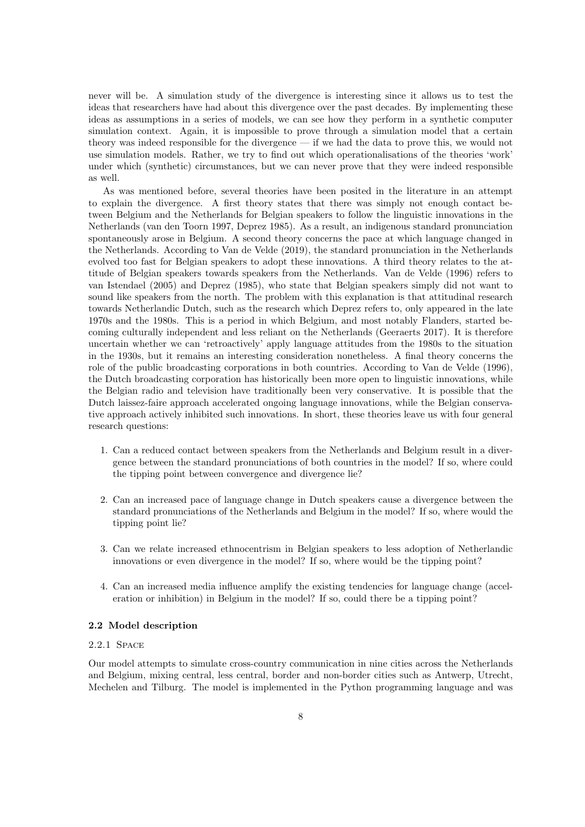never will be. A simulation study of the divergence is interesting since it allows us to test the ideas that researchers have had about this divergence over the past decades. By implementing these ideas as assumptions in a series of models, we can see how they perform in a synthetic computer simulation context. Again, it is impossible to prove through a simulation model that a certain theory was indeed responsible for the divergence — if we had the data to prove this, we would not use simulation models. Rather, we try to find out which operationalisations of the theories 'work' under which (synthetic) circumstances, but we can never prove that they were indeed responsible as well.

As was mentioned before, several theories have been posited in the literature in an attempt to explain the divergence. A first theory states that there was simply not enough contact between Belgium and the Netherlands for Belgian speakers to follow the linguistic innovations in the Netherlands (van den Toorn 1997, Deprez 1985). As a result, an indigenous standard pronunciation spontaneously arose in Belgium. A second theory concerns the pace at which language changed in the Netherlands. According to Van de Velde (2019), the standard pronunciation in the Netherlands evolved too fast for Belgian speakers to adopt these innovations. A third theory relates to the attitude of Belgian speakers towards speakers from the Netherlands. Van de Velde (1996) refers to van Istendael (2005) and Deprez (1985), who state that Belgian speakers simply did not want to sound like speakers from the north. The problem with this explanation is that attitudinal research towards Netherlandic Dutch, such as the research which Deprez refers to, only appeared in the late 1970s and the 1980s. This is a period in which Belgium, and most notably Flanders, started becoming culturally independent and less reliant on the Netherlands (Geeraerts 2017). It is therefore uncertain whether we can 'retroactively' apply language attitudes from the 1980s to the situation in the 1930s, but it remains an interesting consideration nonetheless. A final theory concerns the role of the public broadcasting corporations in both countries. According to Van de Velde (1996), the Dutch broadcasting corporation has historically been more open to linguistic innovations, while the Belgian radio and television have traditionally been very conservative. It is possible that the Dutch laissez-faire approach accelerated ongoing language innovations, while the Belgian conservative approach actively inhibited such innovations. In short, these theories leave us with four general research questions:

- 1. Can a reduced contact between speakers from the Netherlands and Belgium result in a divergence between the standard pronunciations of both countries in the model? If so, where could the tipping point between convergence and divergence lie?
- 2. Can an increased pace of language change in Dutch speakers cause a divergence between the standard pronunciations of the Netherlands and Belgium in the model? If so, where would the tipping point lie?
- 3. Can we relate increased ethnocentrism in Belgian speakers to less adoption of Netherlandic innovations or even divergence in the model? If so, where would be the tipping point?
- 4. Can an increased media influence amplify the existing tendencies for language change (acceleration or inhibition) in Belgium in the model? If so, could there be a tipping point?

## 2.2 Model description

## 2.2.1 Space

Our model attempts to simulate cross-country communication in nine cities across the Netherlands and Belgium, mixing central, less central, border and non-border cities such as Antwerp, Utrecht, Mechelen and Tilburg. The model is implemented in the Python programming language and was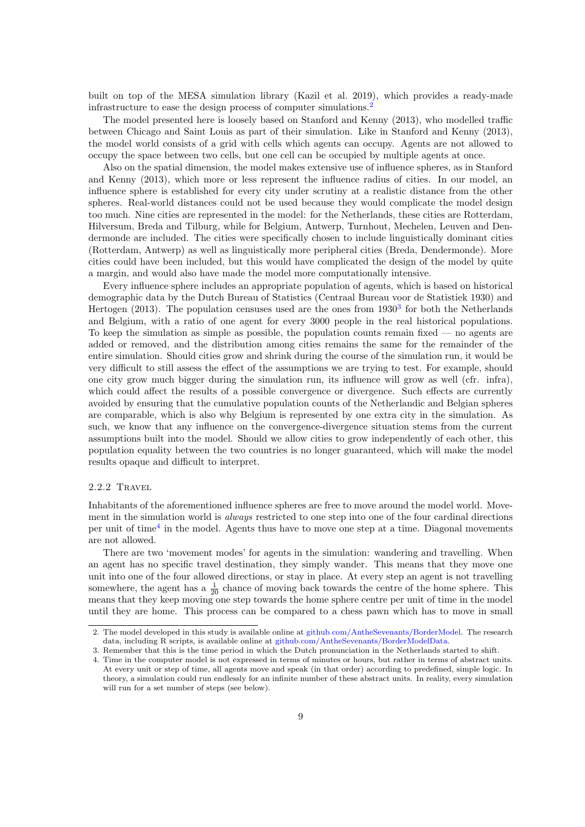built on top of the MESA simulation library (Kazil et al. 2019), which provides a ready-made infrastructure to ease the design process of computer simulations.[2](#page-4-0)

The model presented here is loosely based on Stanford and Kenny (2013), who modelled traffic between Chicago and Saint Louis as part of their simulation. Like in Stanford and Kenny (2013), the model world consists of a grid with cells which agents can occupy. Agents are not allowed to occupy the space between two cells, but one cell can be occupied by multiple agents at once.

Also on the spatial dimension, the model makes extensive use of influence spheres, as in Stanford and Kenny (2013), which more or less represent the influence radius of cities. In our model, an influence sphere is established for every city under scrutiny at a realistic distance from the other spheres. Real-world distances could not be used because they would complicate the model design too much. Nine cities are represented in the model: for the Netherlands, these cities are Rotterdam, Hilversum, Breda and Tilburg, while for Belgium, Antwerp, Turnhout, Mechelen, Leuven and Dendermonde are included. The cities were specifically chosen to include linguistically dominant cities (Rotterdam, Antwerp) as well as linguistically more peripheral cities (Breda, Dendermonde). More cities could have been included, but this would have complicated the design of the model by quite a margin, and would also have made the model more computationally intensive.

Every influence sphere includes an appropriate population of agents, which is based on historical demographic data by the Dutch Bureau of Statistics (Centraal Bureau voor de Statistiek 1930) and Hertogen  $(2013)$  $(2013)$  $(2013)$ . The population censuses used are the ones from  $1930<sup>3</sup>$  for both the Netherlands and Belgium, with a ratio of one agent for every 3000 people in the real historical populations. To keep the simulation as simple as possible, the population counts remain fixed — no agents are added or removed, and the distribution among cities remains the same for the remainder of the entire simulation. Should cities grow and shrink during the course of the simulation run, it would be very difficult to still assess the effect of the assumptions we are trying to test. For example, should one city grow much bigger during the simulation run, its influence will grow as well (cfr. infra), which could affect the results of a possible convergence or divergence. Such effects are currently avoided by ensuring that the cumulative population counts of the Netherlandic and Belgian spheres are comparable, which is also why Belgium is represented by one extra city in the simulation. As such, we know that any influence on the convergence-divergence situation stems from the current assumptions built into the model. Should we allow cities to grow independently of each other, this population equality between the two countries is no longer guaranteed, which will make the model results opaque and difficult to interpret.

#### 2.2.2 Travel

Inhabitants of the aforementioned influence spheres are free to move around the model world. Movement in the simulation world is *always* restricted to one step into one of the four cardinal directions per unit of time<sup>[4](#page-4-2)</sup> in the model. Agents thus have to move one step at a time. Diagonal movements are not allowed.

There are two 'movement modes' for agents in the simulation: wandering and travelling. When an agent has no specific travel destination, they simply wander. This means that they move one unit into one of the four allowed directions, or stay in place. At every step an agent is not travelling somewhere, the agent has a  $\frac{1}{20}$  chance of moving back towards the centre of the home sphere. This means that they keep moving one step towards the home sphere centre per unit of time in the model until they are home. This process can be compared to a chess pawn which has to move in small

<span id="page-4-0"></span><sup>2.</sup> The model developed in this study is available online at [github.com/AntheSevenants/BorderModel.](https://github.com/AntheSevenants/BorderModel) The research data, including R scripts, is available online at [github.com/AntheSevenants/BorderModelData.](https://github.com/AntheSevenants/BorderModelData)

<span id="page-4-1"></span><sup>3.</sup> Remember that this is the time period in which the Dutch pronunciation in the Netherlands started to shift.

<span id="page-4-2"></span><sup>4.</sup> Time in the computer model is not expressed in terms of minutes or hours, but rather in terms of abstract units. At every unit or step of time, all agents move and speak (in that order) according to predefined, simple logic. In theory, a simulation could run endlessly for an infinite number of these abstract units. In reality, every simulation will run for a set number of steps (see below).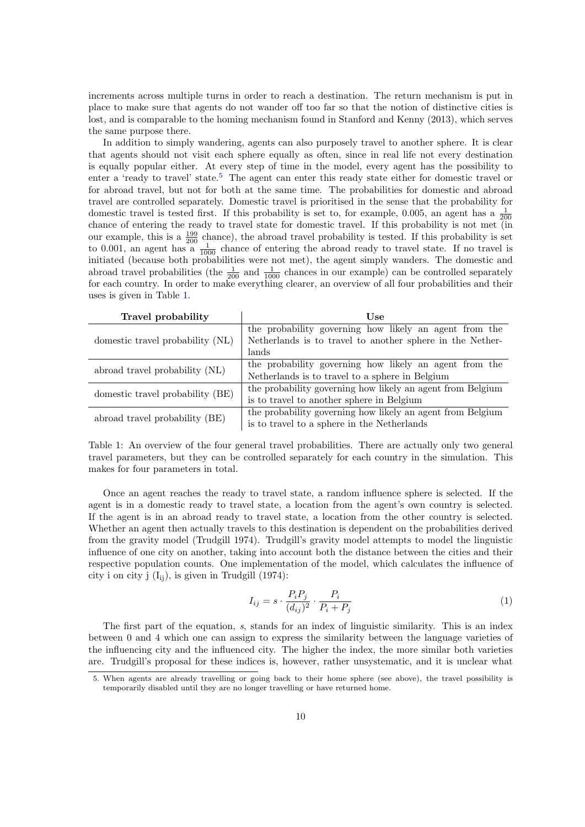increments across multiple turns in order to reach a destination. The return mechanism is put in place to make sure that agents do not wander off too far so that the notion of distinctive cities is lost, and is comparable to the homing mechanism found in Stanford and Kenny (2013), which serves the same purpose there.

In addition to simply wandering, agents can also purposely travel to another sphere. It is clear that agents should not visit each sphere equally as often, since in real life not every destination is equally popular either. At every step of time in the model, every agent has the possibility to enter a 'ready to travel' state.<sup>[5](#page-5-0)</sup> The agent can enter this ready state either for domestic travel or for abroad travel, but not for both at the same time. The probabilities for domestic and abroad travel are controlled separately. Domestic travel is prioritised in the sense that the probability for domestic travel is tested first. If this probability is set to, for example, 0.005, an agent has a  $\frac{1}{200}$ chance of entering the ready to travel state for domestic travel. If this probability is not met (in our example, this is a  $\frac{199}{200}$  chance), the abroad travel probability is tested. If this probability is set to 0.001, an agent has a  $\frac{1}{1000}$  chance of entering the abroad ready to travel state. If no travel is initiated (because both probabilities were not met), the agent simply wanders. The domestic and abroad travel probabilities (the  $\frac{1}{200}$  and  $\frac{1}{1000}$  chances in our example) can be controlled separately for each country. In order to make everything clearer, an overview of all four probabilities and their uses is given in Table [1.](#page-5-1)

<span id="page-5-1"></span>

| Travel probability               | Use                                                        |
|----------------------------------|------------------------------------------------------------|
| domestic travel probability (NL) | the probability governing how likely an agent from the     |
|                                  | Netherlands is to travel to another sphere in the Nether-  |
|                                  | lands                                                      |
| abroad travel probability (NL)   | the probability governing how likely an agent from the     |
|                                  | Netherlands is to travel to a sphere in Belgium            |
| domestic travel probability (BE) | the probability governing how likely an agent from Belgium |
|                                  | is to travel to another sphere in Belgium                  |
| abroad travel probability (BE)   | the probability governing how likely an agent from Belgium |
|                                  | is to travel to a sphere in the Netherlands                |

Table 1: An overview of the four general travel probabilities. There are actually only two general travel parameters, but they can be controlled separately for each country in the simulation. This makes for four parameters in total.

Once an agent reaches the ready to travel state, a random influence sphere is selected. If the agent is in a domestic ready to travel state, a location from the agent's own country is selected. If the agent is in an abroad ready to travel state, a location from the other country is selected. Whether an agent then actually travels to this destination is dependent on the probabilities derived from the gravity model (Trudgill 1974). Trudgill's gravity model attempts to model the linguistic influence of one city on another, taking into account both the distance between the cities and their respective population counts. One implementation of the model, which calculates the influence of city i on city j  $(I_{ii})$ , is given in Trudgill (1974):

$$
I_{ij} = s \cdot \frac{P_i P_j}{(d_{ij})^2} \cdot \frac{P_i}{P_i + P_j} \tag{1}
$$

The first part of the equation, s, stands for an index of linguistic similarity. This is an index between 0 and 4 which one can assign to express the similarity between the language varieties of the influencing city and the influenced city. The higher the index, the more similar both varieties are. Trudgill's proposal for these indices is, however, rather unsystematic, and it is unclear what

<span id="page-5-0"></span><sup>5.</sup> When agents are already travelling or going back to their home sphere (see above), the travel possibility is temporarily disabled until they are no longer travelling or have returned home.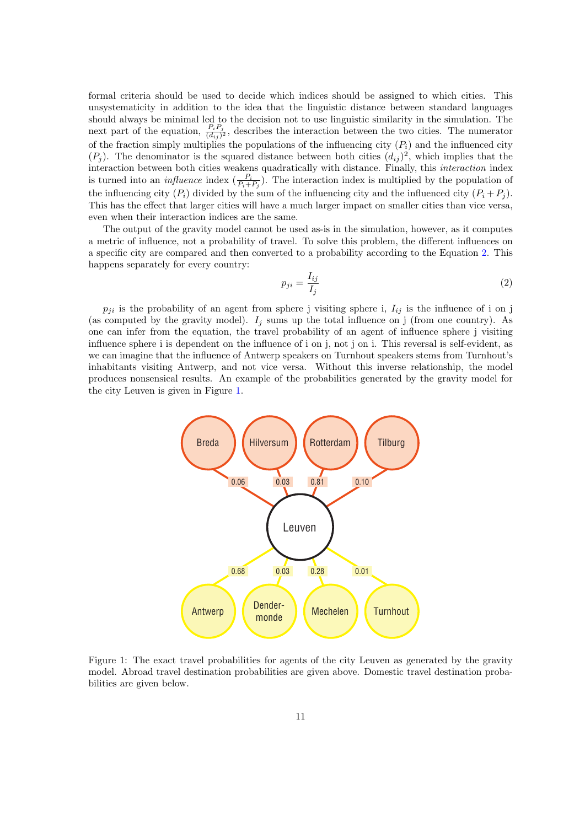formal criteria should be used to decide which indices should be assigned to which cities. This unsystematicity in addition to the idea that the linguistic distance between standard languages should always be minimal led to the decision not to use linguistic similarity in the simulation. The next part of the equation,  $\frac{P_i P_j}{(d_{ij})^2}$ , describes the interaction between the two cities. The numerator of the fraction simply multiplies the populations of the influencing city  $(P_i)$  and the influenced city  $(P_j)$ . The denominator is the squared distance between both cities  $(d_{ij})^2$ , which implies that the interaction between both cities weakens quadratically with distance. Finally, this interaction index is turned into an *influence* index  $(\frac{P_i}{P_i+P_j})$ . The interaction index is multiplied by the population of the influencing city  $(P_i)$  divided by the sum of the influencing city and the influenced city  $(P_i + P_j)$ . This has the effect that larger cities will have a much larger impact on smaller cities than vice versa, even when their interaction indices are the same.

The output of the gravity model cannot be used as-is in the simulation, however, as it computes a metric of influence, not a probability of travel. To solve this problem, the different influences on a specific city are compared and then converted to a probability according to the Equation [2.](#page-6-0) This happens separately for every country:

<span id="page-6-0"></span>
$$
p_{ji} = \frac{I_{ij}}{I_j} \tag{2}
$$

 $p_{ji}$  is the probability of an agent from sphere j visiting sphere i,  $I_{ij}$  is the influence of i on j (as computed by the gravity model).  $I_j$  sums up the total influence on j (from one country). As one can infer from the equation, the travel probability of an agent of influence sphere j visiting influence sphere i is dependent on the influence of i on j, not j on i. This reversal is self-evident, as we can imagine that the influence of Antwerp speakers on Turnhout speakers stems from Turnhout's inhabitants visiting Antwerp, and not vice versa. Without this inverse relationship, the model produces nonsensical results. An example of the probabilities generated by the gravity model for the city Leuven is given in Figure [1.](#page-6-1)

<span id="page-6-1"></span>

Figure 1: The exact travel probabilities for agents of the city Leuven as generated by the gravity model. Abroad travel destination probabilities are given above. Domestic travel destination probabilities are given below.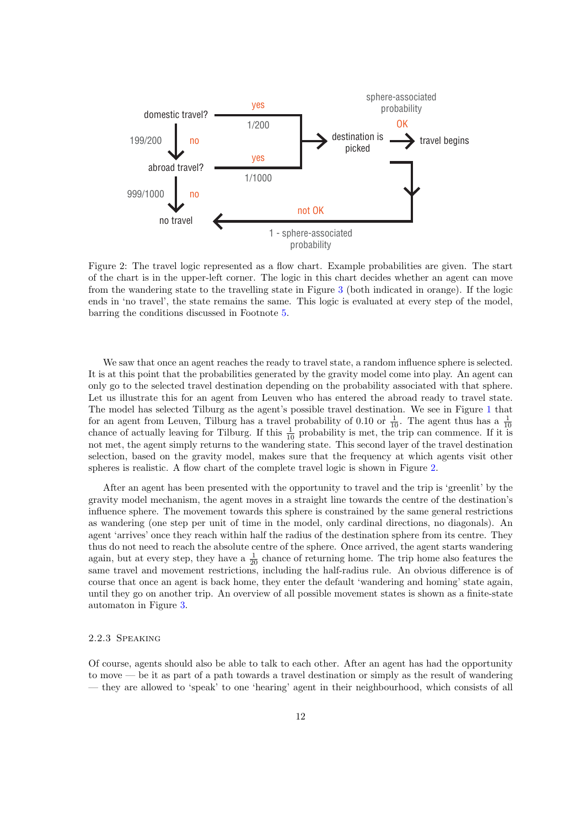<span id="page-7-0"></span>

Figure 2: The travel logic represented as a flow chart. Example probabilities are given. The start of the chart is in the upper-left corner. The logic in this chart decides whether an agent can move from the wandering state to the travelling state in Figure [3](#page-8-0) (both indicated in orange). If the logic ends in 'no travel', the state remains the same. This logic is evaluated at every step of the model, barring the conditions discussed in Footnote [5.](#page-5-0)

We saw that once an agent reaches the ready to travel state, a random influence sphere is selected. It is at this point that the probabilities generated by the gravity model come into play. An agent can only go to the selected travel destination depending on the probability associated with that sphere. Let us illustrate this for an agent from Leuven who has entered the abroad ready to travel state. The model has selected Tilburg as the agent's possible travel destination. We see in Figure [1](#page-6-1) that for an agent from Leuven, Tilburg has a travel probability of 0.10 or  $\frac{1}{10}$ . The agent thus has a  $\frac{1}{10}$ chance of actually leaving for Tilburg. If this  $\frac{1}{10}$  probability is met, the trip can commence. If it is not met, the agent simply returns to the wandering state. This second layer of the travel destination selection, based on the gravity model, makes sure that the frequency at which agents visit other spheres is realistic. A flow chart of the complete travel logic is shown in Figure [2.](#page-7-0)

After an agent has been presented with the opportunity to travel and the trip is 'greenlit' by the gravity model mechanism, the agent moves in a straight line towards the centre of the destination's influence sphere. The movement towards this sphere is constrained by the same general restrictions as wandering (one step per unit of time in the model, only cardinal directions, no diagonals). An agent 'arrives' once they reach within half the radius of the destination sphere from its centre. They thus do not need to reach the absolute centre of the sphere. Once arrived, the agent starts wandering again, but at every step, they have a  $\frac{1}{20}$  chance of returning home. The trip home also features the same travel and movement restrictions, including the half-radius rule. An obvious difference is of course that once an agent is back home, they enter the default 'wandering and homing' state again, until they go on another trip. An overview of all possible movement states is shown as a finite-state automaton in Figure [3.](#page-8-0)

#### 2.2.3 Speaking

Of course, agents should also be able to talk to each other. After an agent has had the opportunity to move — be it as part of a path towards a travel destination or simply as the result of wandering — they are allowed to 'speak' to one 'hearing' agent in their neighbourhood, which consists of all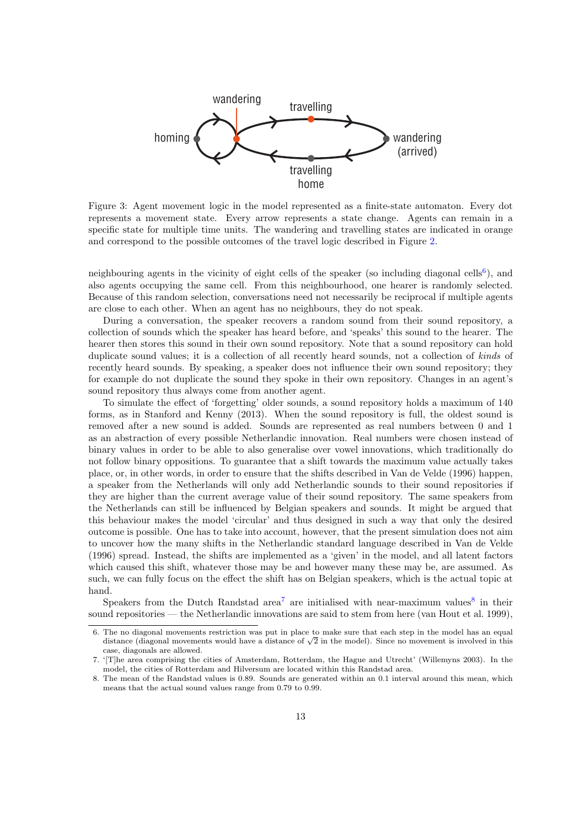<span id="page-8-0"></span>

Figure 3: Agent movement logic in the model represented as a finite-state automaton. Every dot represents a movement state. Every arrow represents a state change. Agents can remain in a specific state for multiple time units. The wandering and travelling states are indicated in orange and correspond to the possible outcomes of the travel logic described in Figure [2.](#page-7-0)

neighbouring agents in the vicinity of eight cells of the speaker (so including diagonal cells<sup>[6](#page-8-1)</sup>), and also agents occupying the same cell. From this neighbourhood, one hearer is randomly selected. Because of this random selection, conversations need not necessarily be reciprocal if multiple agents are close to each other. When an agent has no neighbours, they do not speak.

During a conversation, the speaker recovers a random sound from their sound repository, a collection of sounds which the speaker has heard before, and 'speaks' this sound to the hearer. The hearer then stores this sound in their own sound repository. Note that a sound repository can hold duplicate sound values; it is a collection of all recently heard sounds, not a collection of kinds of recently heard sounds. By speaking, a speaker does not influence their own sound repository; they for example do not duplicate the sound they spoke in their own repository. Changes in an agent's sound repository thus always come from another agent.

To simulate the effect of 'forgetting' older sounds, a sound repository holds a maximum of 140 forms, as in Stanford and Kenny (2013). When the sound repository is full, the oldest sound is removed after a new sound is added. Sounds are represented as real numbers between 0 and 1 as an abstraction of every possible Netherlandic innovation. Real numbers were chosen instead of binary values in order to be able to also generalise over vowel innovations, which traditionally do not follow binary oppositions. To guarantee that a shift towards the maximum value actually takes place, or, in other words, in order to ensure that the shifts described in Van de Velde (1996) happen, a speaker from the Netherlands will only add Netherlandic sounds to their sound repositories if they are higher than the current average value of their sound repository. The same speakers from the Netherlands can still be influenced by Belgian speakers and sounds. It might be argued that this behaviour makes the model 'circular' and thus designed in such a way that only the desired outcome is possible. One has to take into account, however, that the present simulation does not aim to uncover how the many shifts in the Netherlandic standard language described in Van de Velde (1996) spread. Instead, the shifts are implemented as a 'given' in the model, and all latent factors which caused this shift, whatever those may be and however many these may be, are assumed. As such, we can fully focus on the effect the shift has on Belgian speakers, which is the actual topic at hand.

Speakers from the Dutch Randstad area<sup>[7](#page-8-2)</sup> are initialised with near-maximum values<sup>[8](#page-8-3)</sup> in their sound repositories — the Netherlandic innovations are said to stem from here (van Hout et al. 1999),

<span id="page-8-1"></span><sup>6.</sup> The no diagonal movements restriction was put in place to make sure that each step in the model has an equal The no diagonal movements restriction was put in place to make sure that each step in the model has an equal<br>distance (diagonal movements would have a distance of  $\sqrt{2}$  in the model). Since no movement is involved in th case, diagonals are allowed.

<span id="page-8-2"></span><sup>7. &#</sup>x27;[T]he area comprising the cities of Amsterdam, Rotterdam, the Hague and Utrecht' (Willemyns 2003). In the model, the cities of Rotterdam and Hilversum are located within this Randstad area.

<span id="page-8-3"></span><sup>8.</sup> The mean of the Randstad values is 0.89. Sounds are generated within an 0.1 interval around this mean, which means that the actual sound values range from 0.79 to 0.99.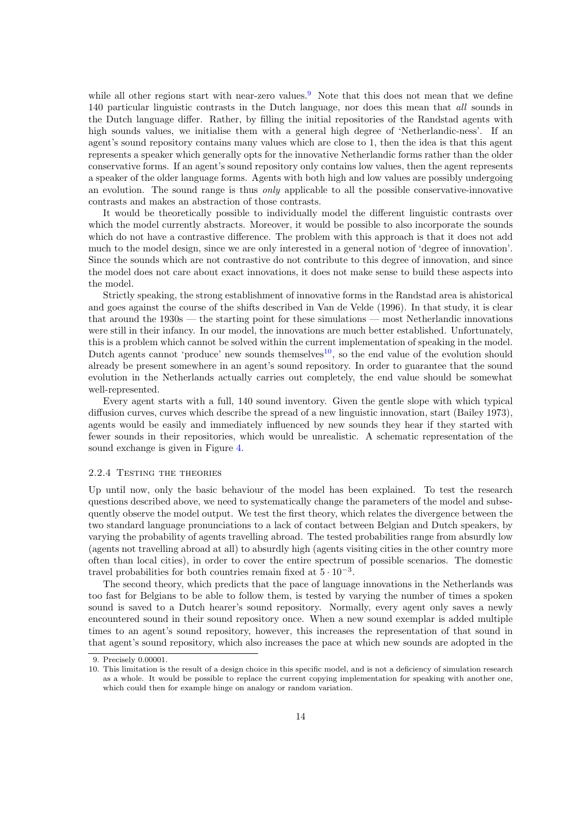while all other regions start with near-zero values.<sup>[9](#page-9-0)</sup> Note that this does not mean that we define 140 particular linguistic contrasts in the Dutch language, nor does this mean that all sounds in the Dutch language differ. Rather, by filling the initial repositories of the Randstad agents with high sounds values, we initialise them with a general high degree of 'Netherlandic-ness'. If an agent's sound repository contains many values which are close to 1, then the idea is that this agent represents a speaker which generally opts for the innovative Netherlandic forms rather than the older conservative forms. If an agent's sound repository only contains low values, then the agent represents a speaker of the older language forms. Agents with both high and low values are possibly undergoing an evolution. The sound range is thus only applicable to all the possible conservative-innovative contrasts and makes an abstraction of those contrasts.

It would be theoretically possible to individually model the different linguistic contrasts over which the model currently abstracts. Moreover, it would be possible to also incorporate the sounds which do not have a contrastive difference. The problem with this approach is that it does not add much to the model design, since we are only interested in a general notion of 'degree of innovation'. Since the sounds which are not contrastive do not contribute to this degree of innovation, and since the model does not care about exact innovations, it does not make sense to build these aspects into the model.

Strictly speaking, the strong establishment of innovative forms in the Randstad area is ahistorical and goes against the course of the shifts described in Van de Velde (1996). In that study, it is clear that around the 1930s — the starting point for these simulations — most Netherlandic innovations were still in their infancy. In our model, the innovations are much better established. Unfortunately, this is a problem which cannot be solved within the current implementation of speaking in the model. Dutch agents cannot 'produce' new sounds themselves<sup>[10](#page-9-1)</sup>, so the end value of the evolution should already be present somewhere in an agent's sound repository. In order to guarantee that the sound evolution in the Netherlands actually carries out completely, the end value should be somewhat well-represented.

Every agent starts with a full, 140 sound inventory. Given the gentle slope with which typical diffusion curves, curves which describe the spread of a new linguistic innovation, start (Bailey 1973), agents would be easily and immediately influenced by new sounds they hear if they started with fewer sounds in their repositories, which would be unrealistic. A schematic representation of the sound exchange is given in Figure [4.](#page-10-0)

#### 2.2.4 TESTING THE THEORIES

Up until now, only the basic behaviour of the model has been explained. To test the research questions described above, we need to systematically change the parameters of the model and subsequently observe the model output. We test the first theory, which relates the divergence between the two standard language pronunciations to a lack of contact between Belgian and Dutch speakers, by varying the probability of agents travelling abroad. The tested probabilities range from absurdly low (agents not travelling abroad at all) to absurdly high (agents visiting cities in the other country more often than local cities), in order to cover the entire spectrum of possible scenarios. The domestic travel probabilities for both countries remain fixed at  $5 \cdot 10^{-3}$ .

The second theory, which predicts that the pace of language innovations in the Netherlands was too fast for Belgians to be able to follow them, is tested by varying the number of times a spoken sound is saved to a Dutch hearer's sound repository. Normally, every agent only saves a newly encountered sound in their sound repository once. When a new sound exemplar is added multiple times to an agent's sound repository, however, this increases the representation of that sound in that agent's sound repository, which also increases the pace at which new sounds are adopted in the

<span id="page-9-0"></span><sup>9.</sup> Precisely 0.00001.

<span id="page-9-1"></span><sup>10.</sup> This limitation is the result of a design choice in this specific model, and is not a deficiency of simulation research as a whole. It would be possible to replace the current copying implementation for speaking with another one, which could then for example hinge on analogy or random variation.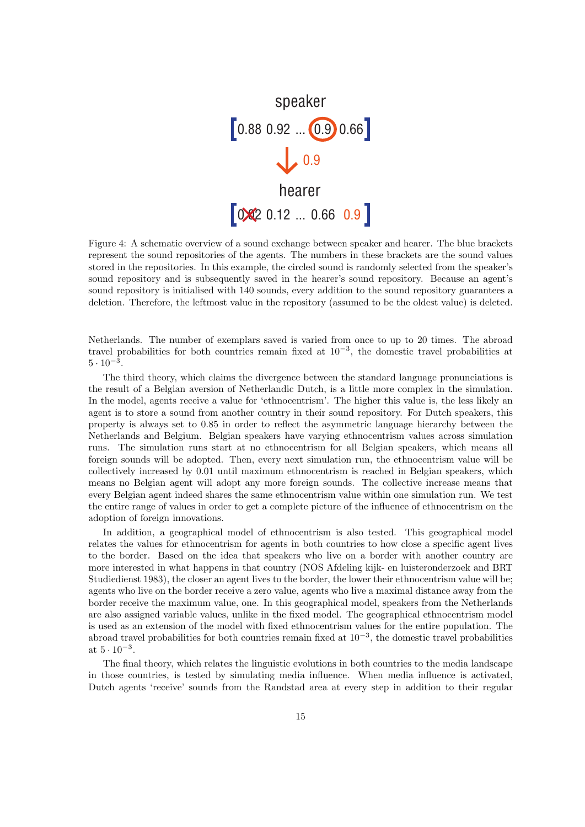<span id="page-10-0"></span>

Figure 4: A schematic overview of a sound exchange between speaker and hearer. The blue brackets represent the sound repositories of the agents. The numbers in these brackets are the sound values stored in the repositories. In this example, the circled sound is randomly selected from the speaker's sound repository and is subsequently saved in the hearer's sound repository. Because an agent's sound repository is initialised with 140 sounds, every addition to the sound repository guarantees a deletion. Therefore, the leftmost value in the repository (assumed to be the oldest value) is deleted.

Netherlands. The number of exemplars saved is varied from once to up to 20 times. The abroad travel probabilities for both countries remain fixed at 10<sup>−</sup><sup>3</sup> , the domestic travel probabilities at  $5 \cdot 10^{-3}$ .

The third theory, which claims the divergence between the standard language pronunciations is the result of a Belgian aversion of Netherlandic Dutch, is a little more complex in the simulation. In the model, agents receive a value for 'ethnocentrism'. The higher this value is, the less likely an agent is to store a sound from another country in their sound repository. For Dutch speakers, this property is always set to 0.85 in order to reflect the asymmetric language hierarchy between the Netherlands and Belgium. Belgian speakers have varying ethnocentrism values across simulation runs. The simulation runs start at no ethnocentrism for all Belgian speakers, which means all foreign sounds will be adopted. Then, every next simulation run, the ethnocentrism value will be collectively increased by 0.01 until maximum ethnocentrism is reached in Belgian speakers, which means no Belgian agent will adopt any more foreign sounds. The collective increase means that every Belgian agent indeed shares the same ethnocentrism value within one simulation run. We test the entire range of values in order to get a complete picture of the influence of ethnocentrism on the adoption of foreign innovations.

In addition, a geographical model of ethnocentrism is also tested. This geographical model relates the values for ethnocentrism for agents in both countries to how close a specific agent lives to the border. Based on the idea that speakers who live on a border with another country are more interested in what happens in that country (NOS Afdeling kijk- en luisteronderzoek and BRT Studiedienst 1983), the closer an agent lives to the border, the lower their ethnocentrism value will be; agents who live on the border receive a zero value, agents who live a maximal distance away from the border receive the maximum value, one. In this geographical model, speakers from the Netherlands are also assigned variable values, unlike in the fixed model. The geographical ethnocentrism model is used as an extension of the model with fixed ethnocentrism values for the entire population. The abroad travel probabilities for both countries remain fixed at 10<sup>−</sup><sup>3</sup> , the domestic travel probabilities at  $5 \cdot 10^{-3}$ .

The final theory, which relates the linguistic evolutions in both countries to the media landscape in those countries, is tested by simulating media influence. When media influence is activated, Dutch agents 'receive' sounds from the Randstad area at every step in addition to their regular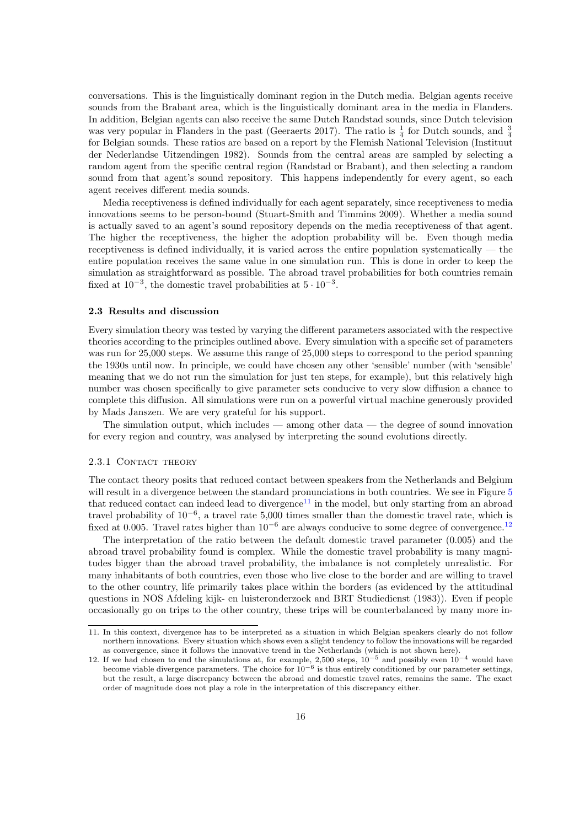conversations. This is the linguistically dominant region in the Dutch media. Belgian agents receive sounds from the Brabant area, which is the linguistically dominant area in the media in Flanders. In addition, Belgian agents can also receive the same Dutch Randstad sounds, since Dutch television was very popular in Flanders in the past (Geeraerts 2017). The ratio is  $\frac{1}{4}$  for Dutch sounds, and  $\frac{3}{4}$ for Belgian sounds. These ratios are based on a report by the Flemish National Television (Instituut der Nederlandse Uitzendingen 1982). Sounds from the central areas are sampled by selecting a random agent from the specific central region (Randstad or Brabant), and then selecting a random sound from that agent's sound repository. This happens independently for every agent, so each agent receives different media sounds.

Media receptiveness is defined individually for each agent separately, since receptiveness to media innovations seems to be person-bound (Stuart-Smith and Timmins 2009). Whether a media sound is actually saved to an agent's sound repository depends on the media receptiveness of that agent. The higher the receptiveness, the higher the adoption probability will be. Even though media receptiveness is defined individually, it is varied across the entire population systematically  $-$  the entire population receives the same value in one simulation run. This is done in order to keep the simulation as straightforward as possible. The abroad travel probabilities for both countries remain fixed at  $10^{-3}$ , the domestic travel probabilities at  $5 \cdot 10^{-3}$ .

#### 2.3 Results and discussion

Every simulation theory was tested by varying the different parameters associated with the respective theories according to the principles outlined above. Every simulation with a specific set of parameters was run for 25,000 steps. We assume this range of 25,000 steps to correspond to the period spanning the 1930s until now. In principle, we could have chosen any other 'sensible' number (with 'sensible' meaning that we do not run the simulation for just ten steps, for example), but this relatively high number was chosen specifically to give parameter sets conducive to very slow diffusion a chance to complete this diffusion. All simulations were run on a powerful virtual machine generously provided by Mads Janszen. We are very grateful for his support.

The simulation output, which includes  $-$  among other data  $-$  the degree of sound innovation for every region and country, was analysed by interpreting the sound evolutions directly.

#### 2.3.1 CONTACT THEORY

The contact theory posits that reduced contact between speakers from the Netherlands and Belgium will result in a divergence between the standard pronunciations in both countries. We see in Figure [5](#page-12-0) that reduced contact can indeed lead to divergence<sup>[11](#page-11-0)</sup> in the model, but only starting from an abroad travel probability of 10<sup>−</sup><sup>6</sup> , a travel rate 5,000 times smaller than the domestic travel rate, which is fixed at 0.005. Travel rates higher than  $10^{-6}$  are always conducive to some degree of convergence.<sup>[12](#page-11-1)</sup>

The interpretation of the ratio between the default domestic travel parameter (0.005) and the abroad travel probability found is complex. While the domestic travel probability is many magnitudes bigger than the abroad travel probability, the imbalance is not completely unrealistic. For many inhabitants of both countries, even those who live close to the border and are willing to travel to the other country, life primarily takes place within the borders (as evidenced by the attitudinal questions in NOS Afdeling kijk- en luisteronderzoek and BRT Studiedienst (1983)). Even if people occasionally go on trips to the other country, these trips will be counterbalanced by many more in-

<span id="page-11-0"></span><sup>11.</sup> In this context, divergence has to be interpreted as a situation in which Belgian speakers clearly do not follow northern innovations. Every situation which shows even a slight tendency to follow the innovations will be regarded as convergence, since it follows the innovative trend in the Netherlands (which is not shown here).

<span id="page-11-1"></span><sup>12.</sup> If we had chosen to end the simulations at, for example, 2,500 steps,  $10^{-5}$  and possibly even  $10^{-4}$  would have become viable divergence parameters. The choice for  $10^{-6}$  is thus entirely conditioned by our parameter settings, but the result, a large discrepancy between the abroad and domestic travel rates, remains the same. The exact order of magnitude does not play a role in the interpretation of this discrepancy either.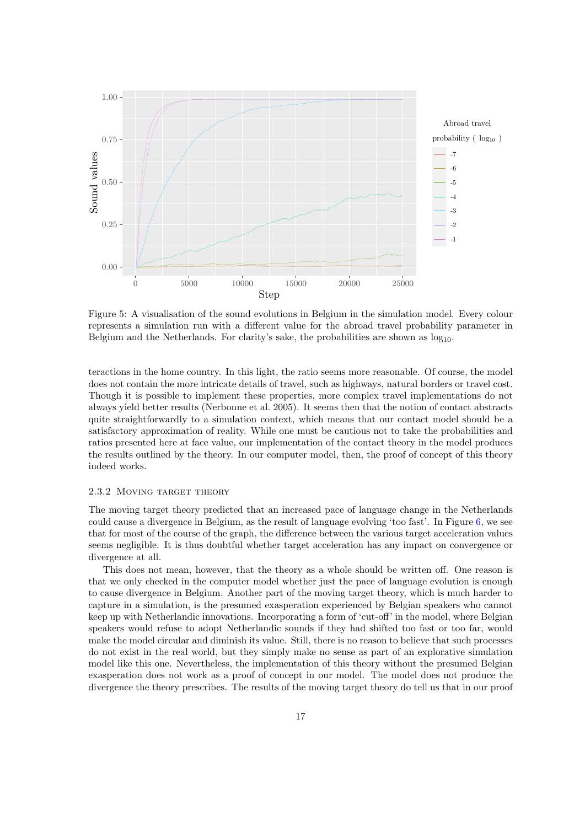<span id="page-12-0"></span>

Figure 5: A visualisation of the sound evolutions in Belgium in the simulation model. Every colour represents a simulation run with a different value for the abroad travel probability parameter in Belgium and the Netherlands. For clarity's sake, the probabilities are shown as  $log_{10}$ .

teractions in the home country. In this light, the ratio seems more reasonable. Of course, the model does not contain the more intricate details of travel, such as highways, natural borders or travel cost. Though it is possible to implement these properties, more complex travel implementations do not always yield better results (Nerbonne et al. 2005). It seems then that the notion of contact abstracts quite straightforwardly to a simulation context, which means that our contact model should be a satisfactory approximation of reality. While one must be cautious not to take the probabilities and ratios presented here at face value, our implementation of the contact theory in the model produces the results outlined by the theory. In our computer model, then, the proof of concept of this theory indeed works.

## 2.3.2 Moving target theory

The moving target theory predicted that an increased pace of language change in the Netherlands could cause a divergence in Belgium, as the result of language evolving 'too fast'. In Figure [6,](#page-13-0) we see that for most of the course of the graph, the difference between the various target acceleration values seems negligible. It is thus doubtful whether target acceleration has any impact on convergence or divergence at all.

This does not mean, however, that the theory as a whole should be written off. One reason is that we only checked in the computer model whether just the pace of language evolution is enough to cause divergence in Belgium. Another part of the moving target theory, which is much harder to capture in a simulation, is the presumed exasperation experienced by Belgian speakers who cannot keep up with Netherlandic innovations. Incorporating a form of 'cut-off' in the model, where Belgian speakers would refuse to adopt Netherlandic sounds if they had shifted too fast or too far, would make the model circular and diminish its value. Still, there is no reason to believe that such processes do not exist in the real world, but they simply make no sense as part of an explorative simulation model like this one. Nevertheless, the implementation of this theory without the presumed Belgian exasperation does not work as a proof of concept in our model. The model does not produce the divergence the theory prescribes. The results of the moving target theory do tell us that in our proof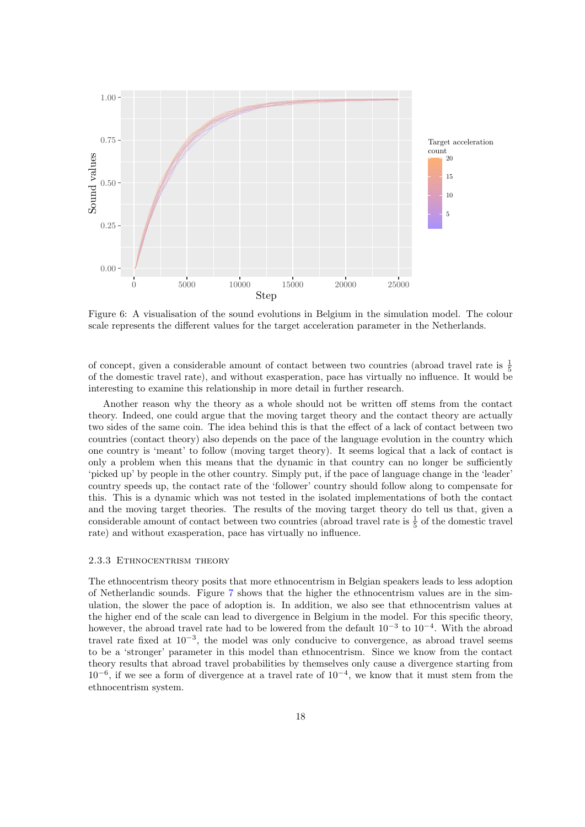<span id="page-13-0"></span>

Figure 6: A visualisation of the sound evolutions in Belgium in the simulation model. The colour scale represents the different values for the target acceleration parameter in the Netherlands.

of concept, given a considerable amount of contact between two countries (abroad travel rate is  $\frac{1}{5}$ of the domestic travel rate), and without exasperation, pace has virtually no influence. It would be interesting to examine this relationship in more detail in further research.

Another reason why the theory as a whole should not be written off stems from the contact theory. Indeed, one could argue that the moving target theory and the contact theory are actually two sides of the same coin. The idea behind this is that the effect of a lack of contact between two countries (contact theory) also depends on the pace of the language evolution in the country which one country is 'meant' to follow (moving target theory). It seems logical that a lack of contact is only a problem when this means that the dynamic in that country can no longer be sufficiently 'picked up' by people in the other country. Simply put, if the pace of language change in the 'leader' country speeds up, the contact rate of the 'follower' country should follow along to compensate for this. This is a dynamic which was not tested in the isolated implementations of both the contact and the moving target theories. The results of the moving target theory do tell us that, given a considerable amount of contact between two countries (abroad travel rate is  $\frac{1}{5}$  of the domestic travel rate) and without exasperation, pace has virtually no influence.

#### 2.3.3 Ethnocentrism theory

The ethnocentrism theory posits that more ethnocentrism in Belgian speakers leads to less adoption of Netherlandic sounds. Figure [7](#page-14-0) shows that the higher the ethnocentrism values are in the simulation, the slower the pace of adoption is. In addition, we also see that ethnocentrism values at the higher end of the scale can lead to divergence in Belgium in the model. For this specific theory, however, the abroad travel rate had to be lowered from the default  $10^{-3}$  to  $10^{-4}$ . With the abroad travel rate fixed at  $10^{-3}$ , the model was only conducive to convergence, as abroad travel seems to be a 'stronger' parameter in this model than ethnocentrism. Since we know from the contact theory results that abroad travel probabilities by themselves only cause a divergence starting from 10<sup>−</sup><sup>6</sup> , if we see a form of divergence at a travel rate of 10<sup>−</sup><sup>4</sup> , we know that it must stem from the ethnocentrism system.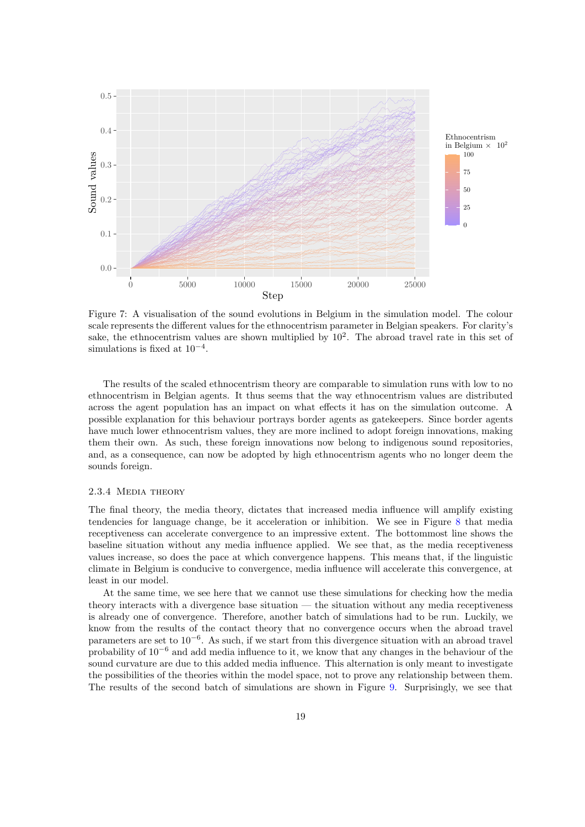<span id="page-14-0"></span>

Figure 7: A visualisation of the sound evolutions in Belgium in the simulation model. The colour scale represents the different values for the ethnocentrism parameter in Belgian speakers. For clarity's sake, the ethnocentrism values are shown multiplied by  $10^2$ . The abroad travel rate in this set of simulations is fixed at  $10^{-4}$ .

The results of the scaled ethnocentrism theory are comparable to simulation runs with low to no ethnocentrism in Belgian agents. It thus seems that the way ethnocentrism values are distributed across the agent population has an impact on what effects it has on the simulation outcome. A possible explanation for this behaviour portrays border agents as gatekeepers. Since border agents have much lower ethnocentrism values, they are more inclined to adopt foreign innovations, making them their own. As such, these foreign innovations now belong to indigenous sound repositories, and, as a consequence, can now be adopted by high ethnocentrism agents who no longer deem the sounds foreign.

### 2.3.4 Media theory

The final theory, the media theory, dictates that increased media influence will amplify existing tendencies for language change, be it acceleration or inhibition. We see in Figure [8](#page-15-0) that media receptiveness can accelerate convergence to an impressive extent. The bottommost line shows the baseline situation without any media influence applied. We see that, as the media receptiveness values increase, so does the pace at which convergence happens. This means that, if the linguistic climate in Belgium is conducive to convergence, media influence will accelerate this convergence, at least in our model.

At the same time, we see here that we cannot use these simulations for checking how the media theory interacts with a divergence base situation — the situation without any media receptiveness is already one of convergence. Therefore, another batch of simulations had to be run. Luckily, we know from the results of the contact theory that no convergence occurs when the abroad travel parameters are set to 10<sup>-6</sup>. As such, if we start from this divergence situation with an abroad travel probability of 10<sup>−</sup><sup>6</sup> and add media influence to it, we know that any changes in the behaviour of the sound curvature are due to this added media influence. This alternation is only meant to investigate the possibilities of the theories within the model space, not to prove any relationship between them. The results of the second batch of simulations are shown in Figure [9.](#page-16-0) Surprisingly, we see that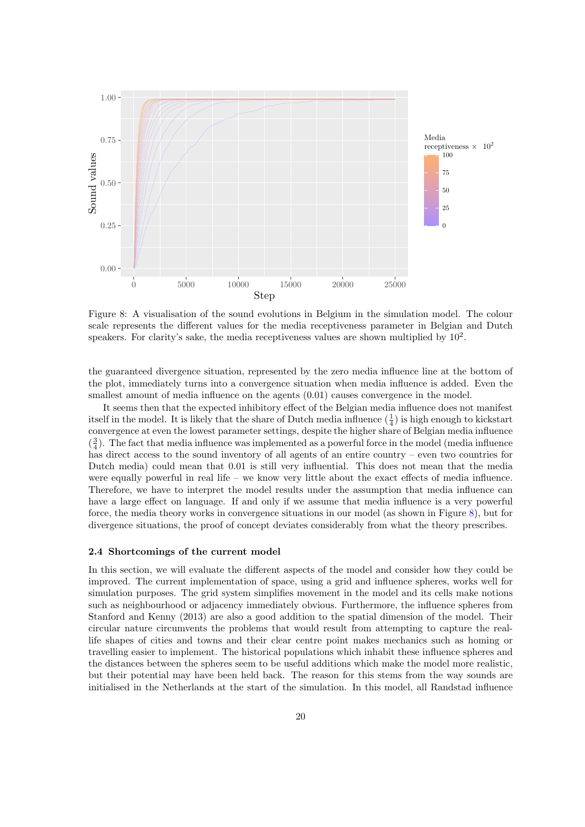<span id="page-15-0"></span>

Figure 8: A visualisation of the sound evolutions in Belgium in the simulation model. The colour scale represents the different values for the media receptiveness parameter in Belgian and Dutch speakers. For clarity's sake, the media receptiveness values are shown multiplied by  $10<sup>2</sup>$ .

the guaranteed divergence situation, represented by the zero media influence line at the bottom of the plot, immediately turns into a convergence situation when media influence is added. Even the smallest amount of media influence on the agents  $(0.01)$  causes convergence in the model.

It seems then that the expected inhibitory effect of the Belgian media influence does not manifest itself in the model. It is likely that the share of Dutch media influence  $(\frac{1}{4})$  is high enough to kickstart convergence at even the lowest parameter settings, despite the higher share of Belgian media influence  $(\frac{3}{4})$ . The fact that media influence was implemented as a powerful force in the model (media influence has direct access to the sound inventory of all agents of an entire country – even two countries for Dutch media) could mean that 0.01 is still very influential. This does not mean that the media were equally powerful in real life – we know very little about the exact effects of media influence. Therefore, we have to interpret the model results under the assumption that media influence can have a large effect on language. If and only if we assume that media influence is a very powerful force, the media theory works in convergence situations in our model (as shown in Figure [8\)](#page-15-0), but for divergence situations, the proof of concept deviates considerably from what the theory prescribes.

#### 2.4 Shortcomings of the current model

In this section, we will evaluate the different aspects of the model and consider how they could be improved. The current implementation of space, using a grid and influence spheres, works well for simulation purposes. The grid system simplifies movement in the model and its cells make notions such as neighbourhood or adjacency immediately obvious. Furthermore, the influence spheres from Stanford and Kenny (2013) are also a good addition to the spatial dimension of the model. Their circular nature circumvents the problems that would result from attempting to capture the reallife shapes of cities and towns and their clear centre point makes mechanics such as homing or travelling easier to implement. The historical populations which inhabit these influence spheres and the distances between the spheres seem to be useful additions which make the model more realistic, but their potential may have been held back. The reason for this stems from the way sounds are initialised in the Netherlands at the start of the simulation. In this model, all Randstad influence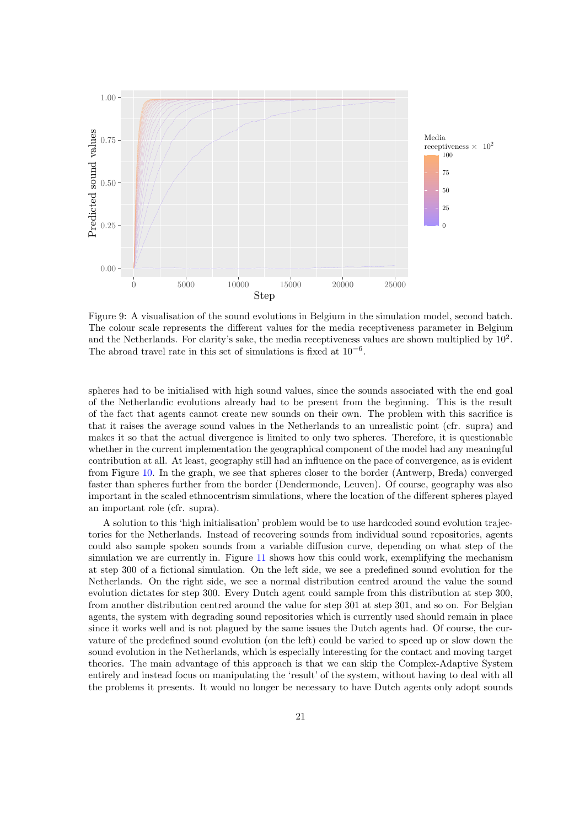<span id="page-16-0"></span>

Figure 9: A visualisation of the sound evolutions in Belgium in the simulation model, second batch. The colour scale represents the different values for the media receptiveness parameter in Belgium and the Netherlands. For clarity's sake, the media receptiveness values are shown multiplied by  $10<sup>2</sup>$ . The abroad travel rate in this set of simulations is fixed at  $10^{-6}$ .

spheres had to be initialised with high sound values, since the sounds associated with the end goal of the Netherlandic evolutions already had to be present from the beginning. This is the result of the fact that agents cannot create new sounds on their own. The problem with this sacrifice is that it raises the average sound values in the Netherlands to an unrealistic point (cfr. supra) and makes it so that the actual divergence is limited to only two spheres. Therefore, it is questionable whether in the current implementation the geographical component of the model had any meaningful contribution at all. At least, geography still had an influence on the pace of convergence, as is evident from Figure [10.](#page-17-0) In the graph, we see that spheres closer to the border (Antwerp, Breda) converged faster than spheres further from the border (Dendermonde, Leuven). Of course, geography was also important in the scaled ethnocentrism simulations, where the location of the different spheres played an important role (cfr. supra).

A solution to this 'high initialisation' problem would be to use hardcoded sound evolution trajectories for the Netherlands. Instead of recovering sounds from individual sound repositories, agents could also sample spoken sounds from a variable diffusion curve, depending on what step of the simulation we are currently in. Figure [11](#page-18-0) shows how this could work, exemplifying the mechanism at step 300 of a fictional simulation. On the left side, we see a predefined sound evolution for the Netherlands. On the right side, we see a normal distribution centred around the value the sound evolution dictates for step 300. Every Dutch agent could sample from this distribution at step 300, from another distribution centred around the value for step 301 at step 301, and so on. For Belgian agents, the system with degrading sound repositories which is currently used should remain in place since it works well and is not plagued by the same issues the Dutch agents had. Of course, the curvature of the predefined sound evolution (on the left) could be varied to speed up or slow down the sound evolution in the Netherlands, which is especially interesting for the contact and moving target theories. The main advantage of this approach is that we can skip the Complex-Adaptive System entirely and instead focus on manipulating the 'result' of the system, without having to deal with all the problems it presents. It would no longer be necessary to have Dutch agents only adopt sounds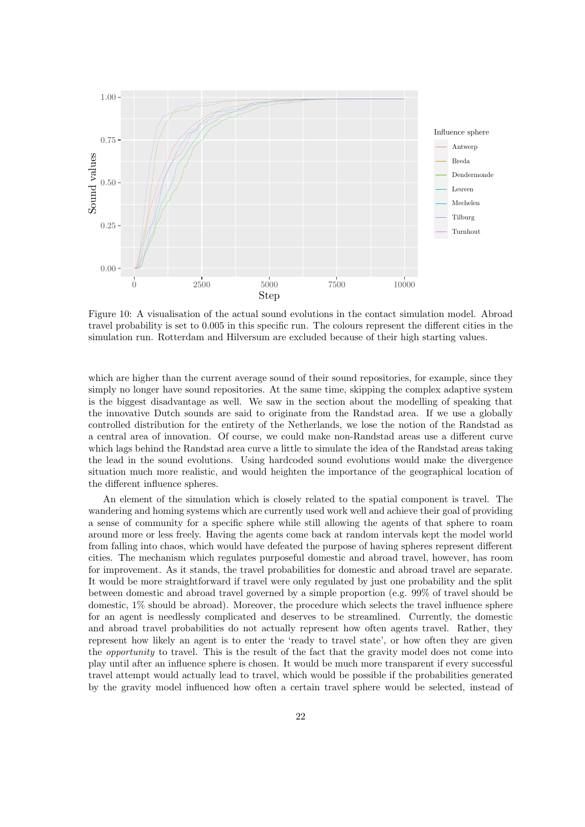<span id="page-17-0"></span>

Figure 10: A visualisation of the actual sound evolutions in the contact simulation model. Abroad travel probability is set to 0.005 in this specific run. The colours represent the different cities in the simulation run. Rotterdam and Hilversum are excluded because of their high starting values.

which are higher than the current average sound of their sound repositories, for example, since they simply no longer have sound repositories. At the same time, skipping the complex adaptive system is the biggest disadvantage as well. We saw in the section about the modelling of speaking that the innovative Dutch sounds are said to originate from the Randstad area. If we use a globally controlled distribution for the entirety of the Netherlands, we lose the notion of the Randstad as a central area of innovation. Of course, we could make non-Randstad areas use a different curve which lags behind the Randstad area curve a little to simulate the idea of the Randstad areas taking the lead in the sound evolutions. Using hardcoded sound evolutions would make the divergence situation much more realistic, and would heighten the importance of the geographical location of the different influence spheres.

An element of the simulation which is closely related to the spatial component is travel. The wandering and homing systems which are currently used work well and achieve their goal of providing a sense of community for a specific sphere while still allowing the agents of that sphere to roam around more or less freely. Having the agents come back at random intervals kept the model world from falling into chaos, which would have defeated the purpose of having spheres represent different cities. The mechanism which regulates purposeful domestic and abroad travel, however, has room for improvement. As it stands, the travel probabilities for domestic and abroad travel are separate. It would be more straightforward if travel were only regulated by just one probability and the split between domestic and abroad travel governed by a simple proportion (e.g. 99% of travel should be domestic, 1% should be abroad). Moreover, the procedure which selects the travel influence sphere for an agent is needlessly complicated and deserves to be streamlined. Currently, the domestic and abroad travel probabilities do not actually represent how often agents travel. Rather, they represent how likely an agent is to enter the 'ready to travel state', or how often they are given the opportunity to travel. This is the result of the fact that the gravity model does not come into play until after an influence sphere is chosen. It would be much more transparent if every successful travel attempt would actually lead to travel, which would be possible if the probabilities generated by the gravity model influenced how often a certain travel sphere would be selected, instead of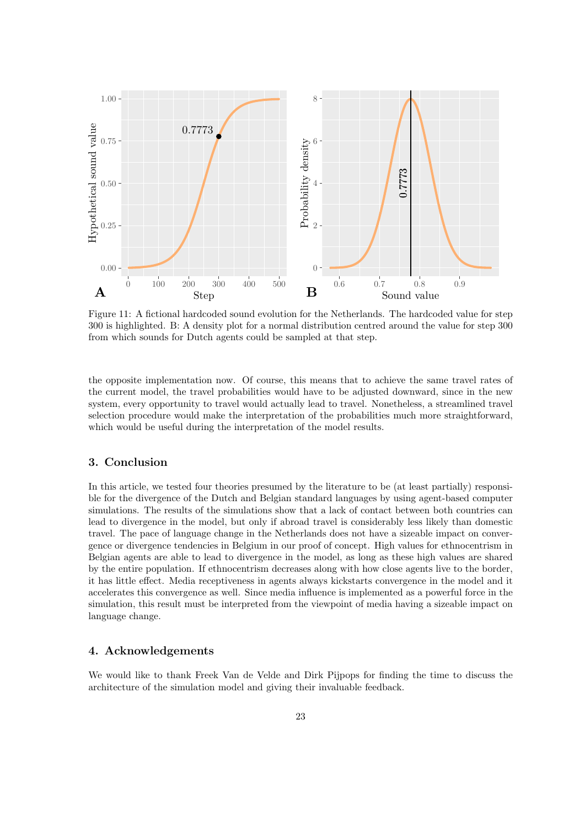<span id="page-18-0"></span>

Figure 11: A fictional hardcoded sound evolution for the Netherlands. The hardcoded value for step 300 is highlighted. B: A density plot for a normal distribution centred around the value for step 300 from which sounds for Dutch agents could be sampled at that step.

the opposite implementation now. Of course, this means that to achieve the same travel rates of the current model, the travel probabilities would have to be adjusted downward, since in the new system, every opportunity to travel would actually lead to travel. Nonetheless, a streamlined travel selection procedure would make the interpretation of the probabilities much more straightforward, which would be useful during the interpretation of the model results.

# 3. Conclusion

In this article, we tested four theories presumed by the literature to be (at least partially) responsible for the divergence of the Dutch and Belgian standard languages by using agent-based computer simulations. The results of the simulations show that a lack of contact between both countries can lead to divergence in the model, but only if abroad travel is considerably less likely than domestic travel. The pace of language change in the Netherlands does not have a sizeable impact on convergence or divergence tendencies in Belgium in our proof of concept. High values for ethnocentrism in Belgian agents are able to lead to divergence in the model, as long as these high values are shared by the entire population. If ethnocentrism decreases along with how close agents live to the border, it has little effect. Media receptiveness in agents always kickstarts convergence in the model and it accelerates this convergence as well. Since media influence is implemented as a powerful force in the simulation, this result must be interpreted from the viewpoint of media having a sizeable impact on language change.

# 4. Acknowledgements

We would like to thank Freek Van de Velde and Dirk Pijpops for finding the time to discuss the architecture of the simulation model and giving their invaluable feedback.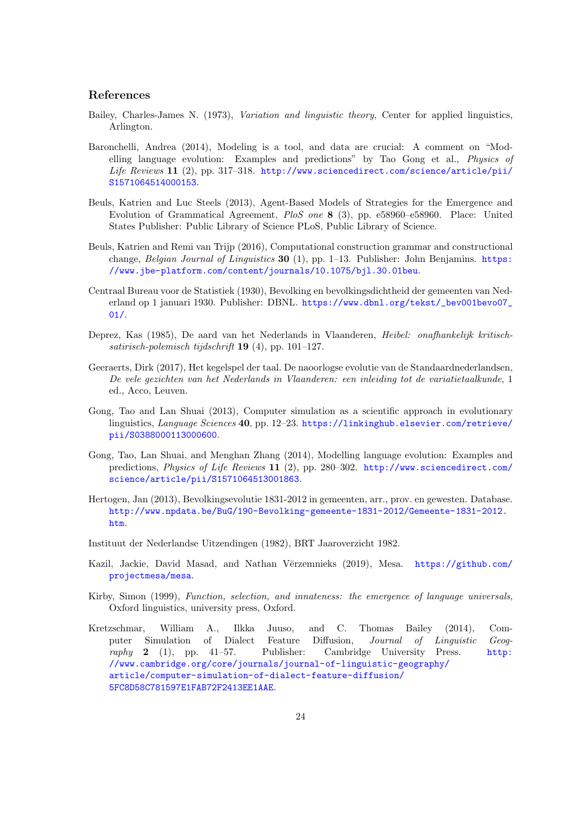# References

- Bailey, Charles-James N. (1973), Variation and linguistic theory, Center for applied linguistics, Arlington.
- Baronchelli, Andrea (2014), Modeling is a tool, and data are crucial: A comment on "Modelling language evolution: Examples and predictions" by Tao Gong et al., Physics of Life Reviews 11 (2), pp. 317–318. [http://www.sciencedirect.com/science/article/pii/](http://www.sciencedirect.com/science/article/pii/S1571064514000153) [S1571064514000153](http://www.sciencedirect.com/science/article/pii/S1571064514000153).
- Beuls, Katrien and Luc Steels (2013), Agent-Based Models of Strategies for the Emergence and Evolution of Grammatical Agreement, PloS one 8 (3), pp. e58960–e58960. Place: United States Publisher: Public Library of Science PLoS, Public Library of Science.
- Beuls, Katrien and Remi van Trijp (2016), Computational construction grammar and constructional change, Belgian Journal of Linguistics 30 (1), pp. 1–13. Publisher: John Benjamins. [https:](https://www.jbe-platform.com/content/journals/10.1075/bjl.30.01beu) [//www.jbe-platform.com/content/journals/10.1075/bjl.30.01beu](https://www.jbe-platform.com/content/journals/10.1075/bjl.30.01beu).
- Centraal Bureau voor de Statistiek (1930), Bevolking en bevolkingsdichtheid der gemeenten van Nederland op 1 januari 1930. Publisher: DBNL. [https://www.dbnl.org/tekst/\\_bev001bevo07\\_](https://www.dbnl.org/tekst/_bev001bevo07_01/) [01/](https://www.dbnl.org/tekst/_bev001bevo07_01/).
- Deprez, Kas (1985), De aard van het Nederlands in Vlaanderen, Heibel: onafhankelijk kritischsatirisch-polemisch tijdschrift 19 $(4)$ , pp. 101–127.
- Geeraerts, Dirk (2017), Het kegelspel der taal. De naoorlogse evolutie van de Standaardnederlandsen, De vele gezichten van het Nederlands in Vlaanderen: een inleiding tot de variatietaalkunde, 1 ed., Acco, Leuven.
- Gong, Tao and Lan Shuai (2013), Computer simulation as a scientific approach in evolutionary linguistics, Language Sciences 40, pp. 12-23. [https://linkinghub.elsevier.com/retrieve/](https://linkinghub.elsevier.com/retrieve/pii/S0388000113000600) [pii/S0388000113000600](https://linkinghub.elsevier.com/retrieve/pii/S0388000113000600).
- Gong, Tao, Lan Shuai, and Menghan Zhang (2014), Modelling language evolution: Examples and predictions, Physics of Life Reviews 11 (2), pp. 280–302. [http://www.sciencedirect.com/](http://www.sciencedirect.com/science/article/pii/S1571064513001863) [science/article/pii/S1571064513001863](http://www.sciencedirect.com/science/article/pii/S1571064513001863).
- Hertogen, Jan (2013), Bevolkingsevolutie 1831-2012 in gemeenten, arr., prov. en gewesten. Database. [http://www.npdata.be/BuG/190-Bevolking-gemeente-1831-2012/Gemeente-1831-2012.](http://www.npdata.be/BuG/190-Bevolking-gemeente-1831-2012/Gemeente-1831-2012.htm) [htm](http://www.npdata.be/BuG/190-Bevolking-gemeente-1831-2012/Gemeente-1831-2012.htm).
- Instituut der Nederlandse Uitzendingen (1982), BRT Jaaroverzicht 1982.
- Kazil, Jackie, David Masad, and Nathan Vērzemnieks (2019), Mesa. [https://github.com/](https://github.com/projectmesa/mesa) [projectmesa/mesa](https://github.com/projectmesa/mesa).
- Kirby, Simon (1999), Function, selection, and innateness: the emergence of language universals, Oxford linguistics, university press, Oxford.
- Kretzschmar, William A., Ilkka Juuso, and C. Thomas Bailey (2014), Computer Simulation of Dialect Feature Diffusion, Journal of Linguistic Geography 2 (1), pp. 41–57. Publisher: Cambridge University Press. [http:](http://www.cambridge.org/core/journals/journal-of-linguistic-geography/article/computer-simulation-of-dialect-feature-diffusion/5FC8D58C781597E1FAB72F2413EE1AAE) [//www.cambridge.org/core/journals/journal-of-linguistic-geography/](http://www.cambridge.org/core/journals/journal-of-linguistic-geography/article/computer-simulation-of-dialect-feature-diffusion/5FC8D58C781597E1FAB72F2413EE1AAE) [article/computer-simulation-of-dialect-feature-diffusion/](http://www.cambridge.org/core/journals/journal-of-linguistic-geography/article/computer-simulation-of-dialect-feature-diffusion/5FC8D58C781597E1FAB72F2413EE1AAE) [5FC8D58C781597E1FAB72F2413EE1AAE](http://www.cambridge.org/core/journals/journal-of-linguistic-geography/article/computer-simulation-of-dialect-feature-diffusion/5FC8D58C781597E1FAB72F2413EE1AAE).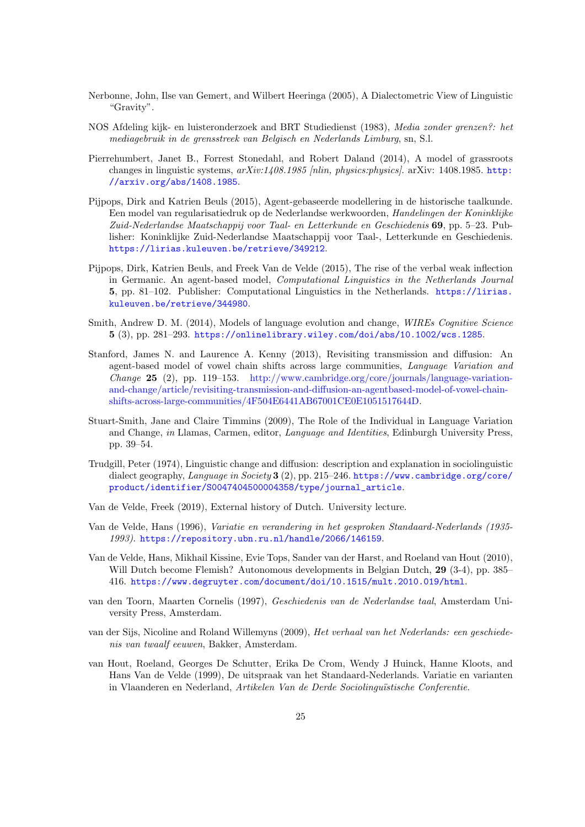- Nerbonne, John, Ilse van Gemert, and Wilbert Heeringa (2005), A Dialectometric View of Linguistic "Gravity".
- NOS Afdeling kijk- en luisteronderzoek and BRT Studiedienst (1983), Media zonder grenzen?: het mediagebruik in de grensstreek van Belgisch en Nederlands Limburg, sn, S.l.
- Pierrehumbert, Janet B., Forrest Stonedahl, and Robert Daland (2014), A model of grassroots changes in linguistic systems,  $arXiv:1408.1985$  [nlin, physics:physics]. arXiv: 1408.1985. [http:](http://arxiv.org/abs/1408.1985) [//arxiv.org/abs/1408.1985](http://arxiv.org/abs/1408.1985).
- Pijpops, Dirk and Katrien Beuls (2015), Agent-gebaseerde modellering in de historische taalkunde. Een model van regularisatiedruk op de Nederlandse werkwoorden, Handelingen der Koninklijke Zuid-Nederlandse Maatschappij voor Taal- en Letterkunde en Geschiedenis 69, pp. 5–23. Publisher: Koninklijke Zuid-Nederlandse Maatschappij voor Taal-, Letterkunde en Geschiedenis. <https://lirias.kuleuven.be/retrieve/349212>.
- Pijpops, Dirk, Katrien Beuls, and Freek Van de Velde (2015), The rise of the verbal weak inflection in Germanic. An agent-based model, Computational Linguistics in the Netherlands Journal 5, pp. 81–102. Publisher: Computational Linguistics in the Netherlands. [https://lirias.](https://lirias.kuleuven.be/retrieve/344980) [kuleuven.be/retrieve/344980](https://lirias.kuleuven.be/retrieve/344980).
- Smith, Andrew D. M. (2014), Models of language evolution and change, *WIREs Cognitive Science* 5 (3), pp. 281–293. <https://onlinelibrary.wiley.com/doi/abs/10.1002/wcs.1285>.
- Stanford, James N. and Laurence A. Kenny (2013), Revisiting transmission and diffusion: An agent-based model of vowel chain shifts across large communities, Language Variation and Change 25 (2), pp. 119–153. [http://www.cambridge.org/core/journals/language-variation](http://www.cambridge.org/core/journals/language-variation-and-change/article/revisiting-transmission-and-diffusion-an-agentbased-model-of-vowel-chain-shifts-across-large-communities/4F504E6441AB67001CE0E1051517644D)[and-change/article/revisiting-transmission-and-diffusion-an-agentbased-model-of-vowel-chain](http://www.cambridge.org/core/journals/language-variation-and-change/article/revisiting-transmission-and-diffusion-an-agentbased-model-of-vowel-chain-shifts-across-large-communities/4F504E6441AB67001CE0E1051517644D)[shifts-across-large-communities/4F504E6441AB67001CE0E1051517644D.](http://www.cambridge.org/core/journals/language-variation-and-change/article/revisiting-transmission-and-diffusion-an-agentbased-model-of-vowel-chain-shifts-across-large-communities/4F504E6441AB67001CE0E1051517644D)
- Stuart-Smith, Jane and Claire Timmins (2009), The Role of the Individual in Language Variation and Change, in Llamas, Carmen, editor, Language and Identities, Edinburgh University Press, pp. 39–54.
- Trudgill, Peter (1974), Linguistic change and diffusion: description and explanation in sociolinguistic dialect geography, Language in Society 3 (2), pp. 215–246. [https://www.cambridge.org/core/](https://www.cambridge.org/core/product/identifier/S0047404500004358/type/journal_article) [product/identifier/S0047404500004358/type/journal\\_article](https://www.cambridge.org/core/product/identifier/S0047404500004358/type/journal_article).
- Van de Velde, Freek (2019), External history of Dutch. University lecture.
- Van de Velde, Hans (1996), Variatie en verandering in het gesproken Standaard-Nederlands (1935- 1993). <https://repository.ubn.ru.nl/handle/2066/146159>.
- Van de Velde, Hans, Mikhail Kissine, Evie Tops, Sander van der Harst, and Roeland van Hout (2010), Will Dutch become Flemish? Autonomous developments in Belgian Dutch, 29 (3-4), pp. 385– 416. <https://www.degruyter.com/document/doi/10.1515/mult.2010.019/html>.
- van den Toorn, Maarten Cornelis (1997), Geschiedenis van de Nederlandse taal, Amsterdam University Press, Amsterdam.
- van der Sijs, Nicoline and Roland Willemyns (2009), Het verhaal van het Nederlands: een geschiedenis van twaalf eeuwen, Bakker, Amsterdam.
- van Hout, Roeland, Georges De Schutter, Erika De Crom, Wendy J Huinck, Hanne Kloots, and Hans Van de Velde (1999), De uitspraak van het Standaard-Nederlands. Variatie en varianten in Vlaanderen en Nederland, Artikelen Van de Derde Sociolinguïstische Conferentie.